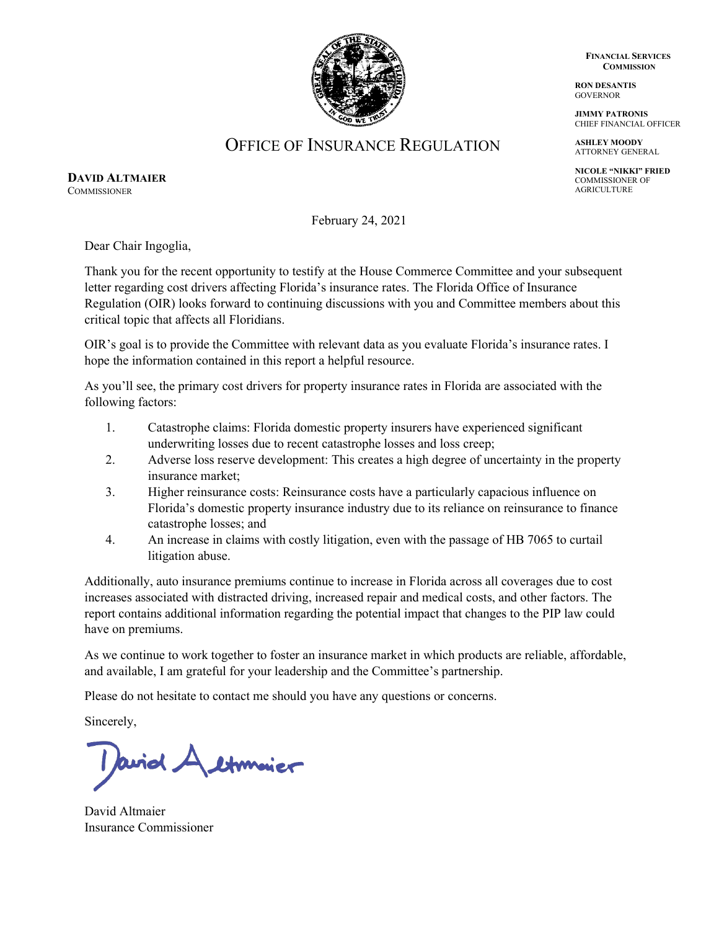**FINANCIAL SERVICES COMMISSION**

**RON DESANTIS GOVERNOR** 

**JIMMY PATRONIS** CHIEF FINANCIAL OFFICER

**ASHLEY MOODY** ATTORNEY GENERAL

**NICOLE "NIKKI" FRIED** COMMISSIONER OF AGRICULTURE



OFFICE OF INSURANCE REGULATION

**DAVID ALTMAIER COMMISSIONER** 

February 24, 2021

Dear Chair Ingoglia,

Thank you for the recent opportunity to testify at the House Commerce Committee and your subsequent letter regarding cost drivers affecting Florida's insurance rates. The Florida Office of Insurance Regulation (OIR) looks forward to continuing discussions with you and Committee members about this critical topic that affects all Floridians.

OIR's goal is to provide the Committee with relevant data as you evaluate Florida's insurance rates. I hope the information contained in this report a helpful resource.

As you'll see, the primary cost drivers for property insurance rates in Florida are associated with the following factors:

- 1. Catastrophe claims: Florida domestic property insurers have experienced significant underwriting losses due to recent catastrophe losses and loss creep;
- 2. Adverse loss reserve development: This creates a high degree of uncertainty in the property insurance market;
- 3. Higher reinsurance costs: Reinsurance costs have a particularly capacious influence on Florida's domestic property insurance industry due to its reliance on reinsurance to finance catastrophe losses; and
- 4. An increase in claims with costly litigation, even with the passage of HB 7065 to curtail litigation abuse.

Additionally, auto insurance premiums continue to increase in Florida across all coverages due to cost increases associated with distracted driving, increased repair and medical costs, and other factors. The report contains additional information regarding the potential impact that changes to the PIP law could have on premiums.

As we continue to work together to foster an insurance market in which products are reliable, affordable, and available, I am grateful for your leadership and the Committee's partnership.

Please do not hesitate to contact me should you have any questions or concerns.

Sincerely,

I avid A etimolier

David Altmaier Insurance Commissioner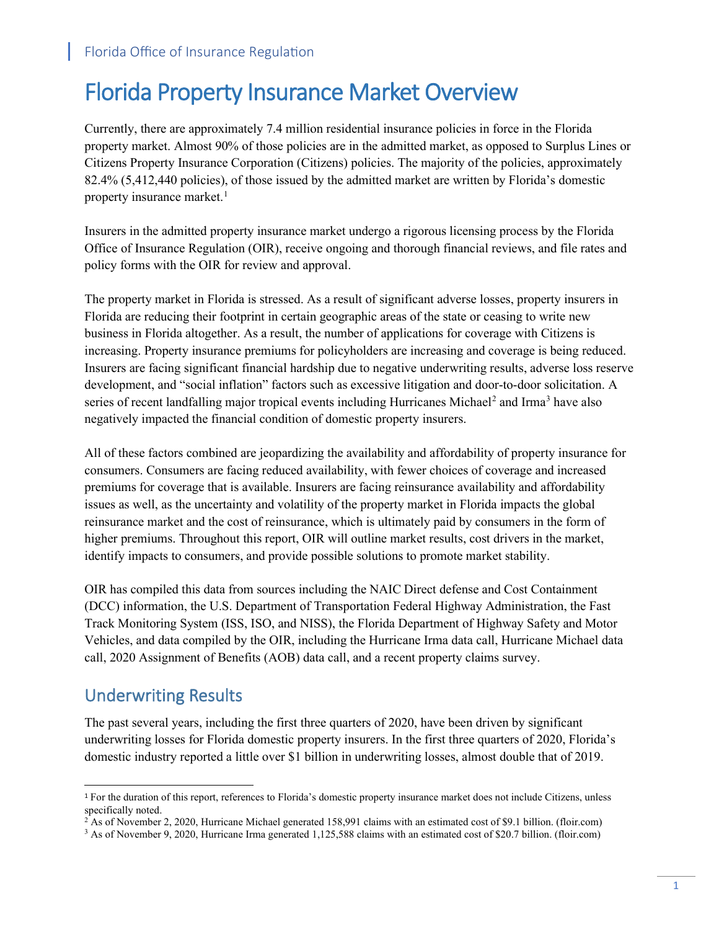# Florida Property Insurance Market Overview

Currently, there are approximately 7.4 million residential insurance policies in force in the Florida property market. Almost 90% of those policies are in the admitted market, as opposed to Surplus Lines or Citizens Property Insurance Corporation (Citizens) policies. The majority of the policies, approximately 82.4% (5,412,440 policies), of those issued by the admitted market are written by Florida's domestic property insurance market.<sup>[1](#page-1-0)</sup>

Insurers in the admitted property insurance market undergo a rigorous licensing process by the Florida Office of Insurance Regulation (OIR), receive ongoing and thorough financial reviews, and file rates and policy forms with the OIR for review and approval.

The property market in Florida is stressed. As a result of significant adverse losses, property insurers in Florida are reducing their footprint in certain geographic areas of the state or ceasing to write new business in Florida altogether. As a result, the number of applications for coverage with Citizens is increasing. Property insurance premiums for policyholders are increasing and coverage is being reduced. Insurers are facing significant financial hardship due to negative underwriting results, adverse loss reserve development, and "social inflation" factors such as excessive litigation and door-to-door solicitation. A series of recent landfalling major tropical events including Hurricanes Michael<sup>[2](#page-1-1)</sup> and Irma<sup>[3](#page-1-2)</sup> have also negatively impacted the financial condition of domestic property insurers.

All of these factors combined are jeopardizing the availability and affordability of property insurance for consumers. Consumers are facing reduced availability, with fewer choices of coverage and increased premiums for coverage that is available. Insurers are facing reinsurance availability and affordability issues as well, as the uncertainty and volatility of the property market in Florida impacts the global reinsurance market and the cost of reinsurance, which is ultimately paid by consumers in the form of higher premiums. Throughout this report, OIR will outline market results, cost drivers in the market, identify impacts to consumers, and provide possible solutions to promote market stability.

OIR has compiled this data from sources including the NAIC Direct defense and Cost Containment (DCC) information, the U.S. Department of Transportation Federal Highway Administration, the Fast Track Monitoring System (ISS, ISO, and NISS), the Florida Department of Highway Safety and Motor Vehicles, and data compiled by the OIR, including the Hurricane Irma data call, Hurricane Michael data call, 2020 Assignment of Benefits (AOB) data call, and a recent property claims survey.

### Underwriting Results

The past several years, including the first three quarters of 2020, have been driven by significant underwriting losses for Florida domestic property insurers. In the first three quarters of 2020, Florida's domestic industry reported a little over \$1 billion in underwriting losses, almost double that of 2019.

<span id="page-1-0"></span><sup>1</sup> For the duration of this report, references to Florida's domestic property insurance market does not include Citizens, unless specifically noted.<br><sup>2</sup> As of November 2, 2020, Hurricane Michael generated 158,991 claims with an estimated cost of \$9.1 billion. (floir.com)

<span id="page-1-1"></span>

<span id="page-1-2"></span><sup>&</sup>lt;sup>3</sup> As of November 9, 2020, Hurricane Irma generated 1,125,588 claims with an estimated cost of \$20.7 billion. (floir.com)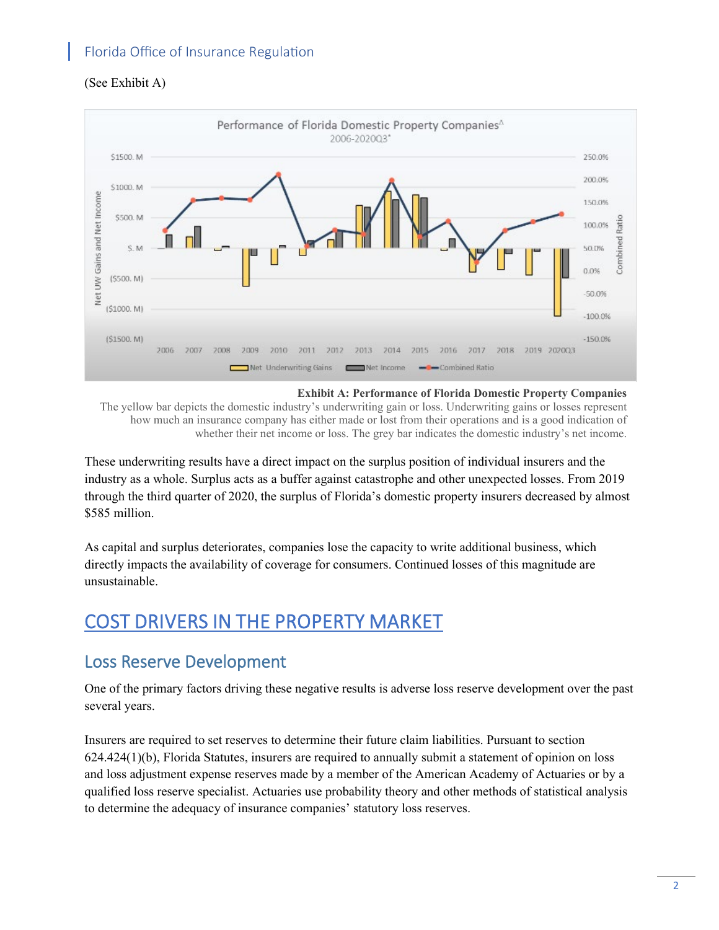#### (See Exhibit A)



**Exhibit A: Performance of Florida Domestic Property Companies**

The yellow bar depicts the domestic industry's underwriting gain or loss. Underwriting gains or losses represent how much an insurance company has either made or lost from their operations and is a good indication of whether their net income or loss. The grey bar indicates the domestic industry's net income.

These underwriting results have a direct impact on the surplus position of individual insurers and the industry as a whole. Surplus acts as a buffer against catastrophe and other unexpected losses. From 2019 through the third quarter of 2020, the surplus of Florida's domestic property insurers decreased by almost \$585 million.

As capital and surplus deteriorates, companies lose the capacity to write additional business, which directly impacts the availability of coverage for consumers. Continued losses of this magnitude are unsustainable.

# COST DRIVERS IN THE PROPERTY MARKET

### Loss Reserve Development

One of the primary factors driving these negative results is adverse loss reserve development over the past several years.

Insurers are required to set reserves to determine their future claim liabilities. Pursuant to section 624.424(1)(b), Florida Statutes, insurers are required to annually submit a statement of opinion on loss and loss adjustment expense reserves made by a member of the American Academy of Actuaries or by a qualified loss reserve specialist. Actuaries use probability theory and other methods of statistical analysis to determine the adequacy of insurance companies' statutory loss reserves.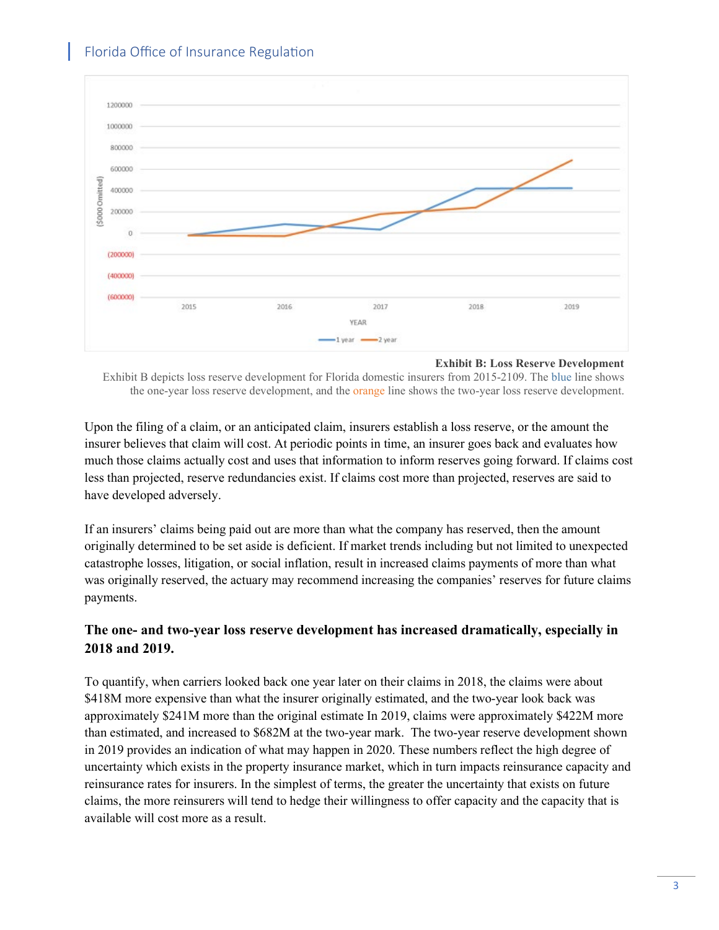

**Exhibit B: Loss Reserve Development**

Exhibit B depicts loss reserve development for Florida domestic insurers from 2015-2109. The blue line shows the one-year loss reserve development, and the orange line shows the two-year loss reserve development.

Upon the filing of a claim, or an anticipated claim, insurers establish a loss reserve, or the amount the insurer believes that claim will cost. At periodic points in time, an insurer goes back and evaluates how much those claims actually cost and uses that information to inform reserves going forward. If claims cost less than projected, reserve redundancies exist. If claims cost more than projected, reserves are said to have developed adversely.

If an insurers' claims being paid out are more than what the company has reserved, then the amount originally determined to be set aside is deficient. If market trends including but not limited to unexpected catastrophe losses, litigation, or social inflation, result in increased claims payments of more than what was originally reserved, the actuary may recommend increasing the companies' reserves for future claims payments.

#### **The one- and two-year loss reserve development has increased dramatically, especially in 2018 and 2019.**

To quantify, when carriers looked back one year later on their claims in 2018, the claims were about \$418M more expensive than what the insurer originally estimated, and the two-year look back was approximately \$241M more than the original estimate In 2019, claims were approximately \$422M more than estimated, and increased to \$682M at the two-year mark. The two-year reserve development shown in 2019 provides an indication of what may happen in 2020. These numbers reflect the high degree of uncertainty which exists in the property insurance market, which in turn impacts reinsurance capacity and reinsurance rates for insurers. In the simplest of terms, the greater the uncertainty that exists on future claims, the more reinsurers will tend to hedge their willingness to offer capacity and the capacity that is available will cost more as a result.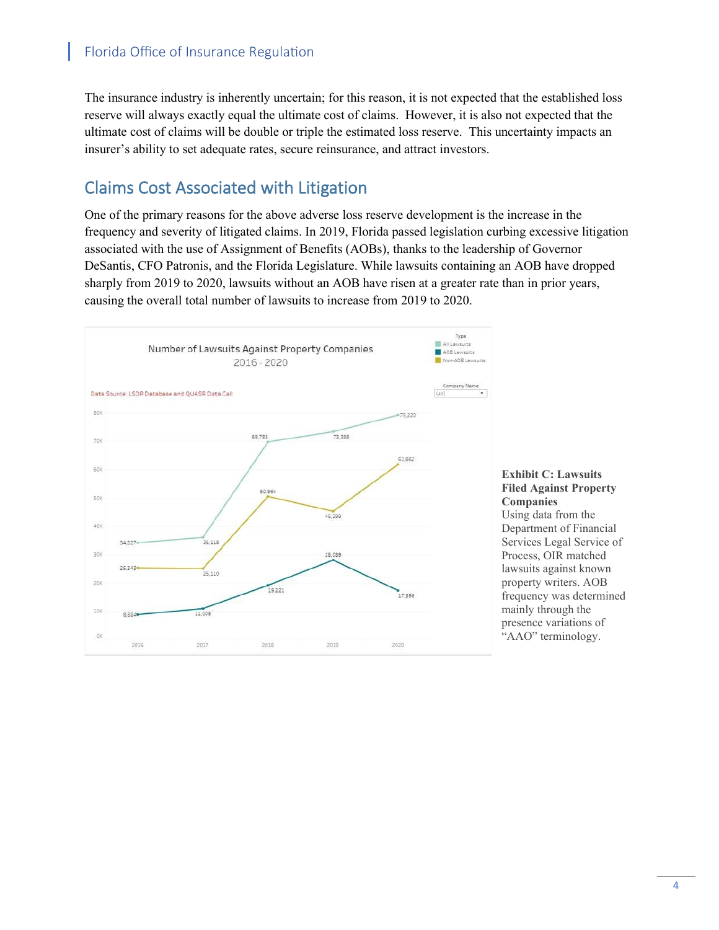The insurance industry is inherently uncertain; for this reason, it is not expected that the established loss reserve will always exactly equal the ultimate cost of claims. However, it is also not expected that the ultimate cost of claims will be double or triple the estimated loss reserve. This uncertainty impacts an insurer's ability to set adequate rates, secure reinsurance, and attract investors.

# Claims Cost Associated with Litigation

One of the primary reasons for the above adverse loss reserve development is the increase in the frequency and severity of litigated claims. In 2019, Florida passed legislation curbing excessive litigation associated with the use of Assignment of Benefits (AOBs), thanks to the leadership of Governor DeSantis, CFO Patronis, and the Florida Legislature. While lawsuits containing an AOB have dropped sharply from 2019 to 2020, lawsuits without an AOB have risen at a greater rate than in prior years, causing the overall total number of lawsuits to increase from 2019 to 2020.

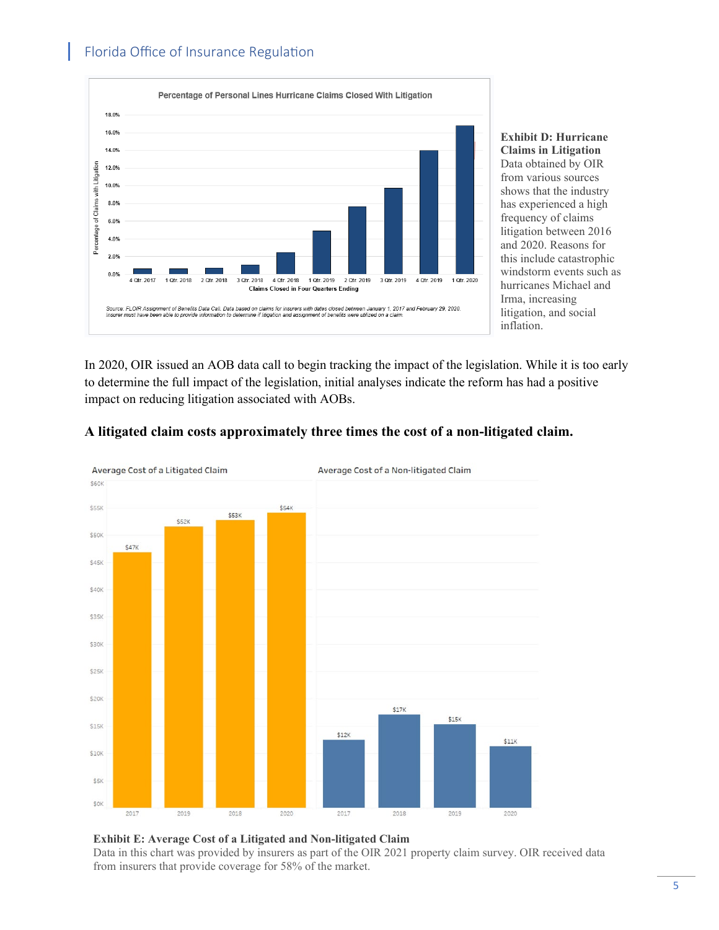

**Exhibit D: Hurricane Claims in Litigation** Data obtained by OIR from various sources shows that the industry has experienced a high frequency of claims litigation between 2016 and 2020. Reasons for this include catastrophic windstorm events such as hurricanes Michael and Irma, increasing litigation, and social inflation.

In 2020, OIR issued an AOB data call to begin tracking the impact of the legislation. While it is too early to determine the full impact of the legislation, initial analyses indicate the reform has had a positive impact on reducing litigation associated with AOBs.



#### **A litigated claim costs approximately three times the cost of a non-litigated claim.**

#### **Exhibit E: Average Cost of a Litigated and Non-litigated Claim** Data in this chart was provided by insurers as part of the OIR 2021 property claim survey. OIR received data from insurers that provide coverage for 58% of the market.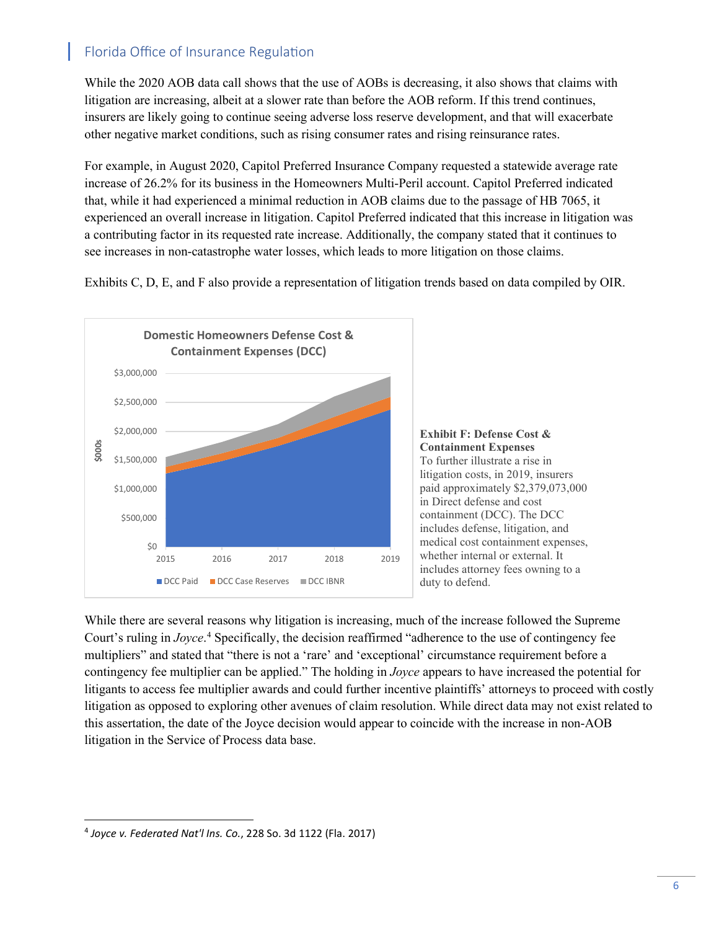While the 2020 AOB data call shows that the use of AOBs is decreasing, it also shows that claims with litigation are increasing, albeit at a slower rate than before the AOB reform. If this trend continues, insurers are likely going to continue seeing adverse loss reserve development, and that will exacerbate other negative market conditions, such as rising consumer rates and rising reinsurance rates.

For example, in August 2020, Capitol Preferred Insurance Company requested a statewide average rate increase of 26.2% for its business in the Homeowners Multi-Peril account. Capitol Preferred indicated that, while it had experienced a minimal reduction in AOB claims due to the passage of HB 7065, it experienced an overall increase in litigation. Capitol Preferred indicated that this increase in litigation was a contributing factor in its requested rate increase. Additionally, the company stated that it continues to see increases in non-catastrophe water losses, which leads to more litigation on those claims.

Exhibits C, D, E, and F also provide a representation of litigation trends based on data compiled by OIR.





While there are several reasons why litigation is increasing, much of the increase followed the Supreme Court's ruling in *Joyce*. [4](#page-6-0) Specifically, the decision reaffirmed "adherence to the use of contingency fee multipliers" and stated that "there is not a 'rare' and 'exceptional' circumstance requirement before a contingency fee multiplier can be applied." The holding in *Joyce* appears to have increased the potential for litigants to access fee multiplier awards and could further incentive plaintiffs' attorneys to proceed with costly litigation as opposed to exploring other avenues of claim resolution. While direct data may not exist related to this assertation, the date of the Joyce decision would appear to coincide with the increase in non-AOB litigation in the Service of Process data base.

<span id="page-6-0"></span><sup>4</sup> *Joyce v. Federated Nat'l Ins. Co.*, 228 So. 3d 1122 (Fla. 2017)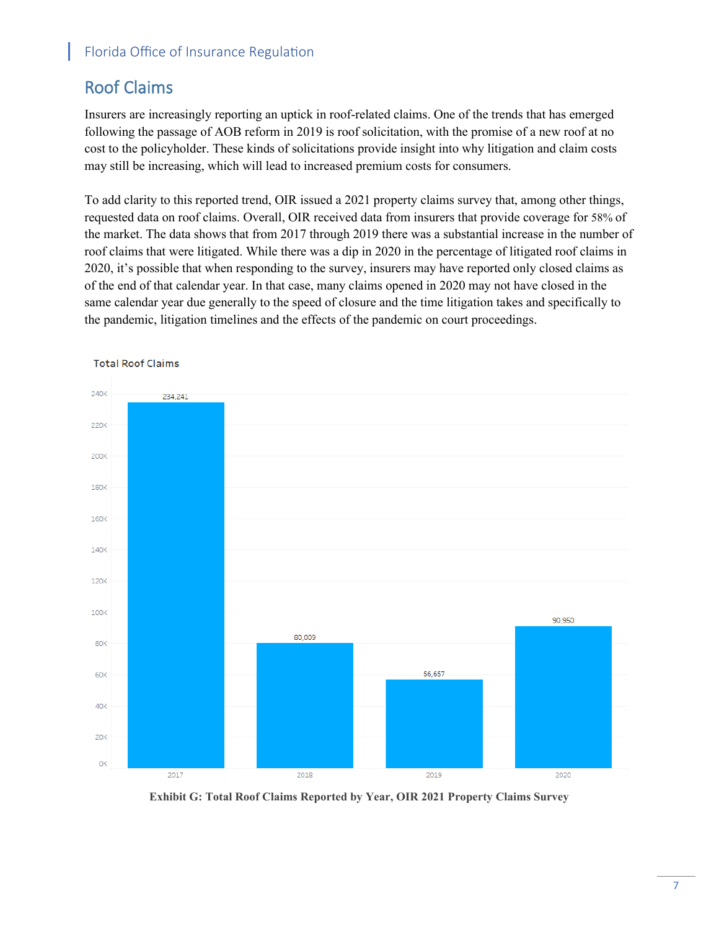## Roof Claims

Insurers are increasingly reporting an uptick in roof-related claims. One of the trends that has emerged following the passage of AOB reform in 2019 is roof solicitation, with the promise of a new roof at no cost to the policyholder. These kinds of solicitations provide insight into why litigation and claim costs may still be increasing, which will lead to increased premium costs for consumers.

To add clarity to this reported trend, OIR issued a 2021 property claims survey that, among other things, requested data on roof claims. Overall, OIR received data from insurers that provide coverage for 58% of the market. The data shows that from 2017 through 2019 there was a substantial increase in the number of roof claims that were litigated. While there was a dip in 2020 in the percentage of litigated roof claims in 2020, it's possible that when responding to the survey, insurers may have reported only closed claims as of the end of that calendar year. In that case, many claims opened in 2020 may not have closed in the same calendar year due generally to the speed of closure and the time litigation takes and specifically to the pandemic, litigation timelines and the effects of the pandemic on court proceedings.



**Total Roof Claims** 

**Exhibit G: Total Roof Claims Reported by Year, OIR 2021 Property Claims Survey**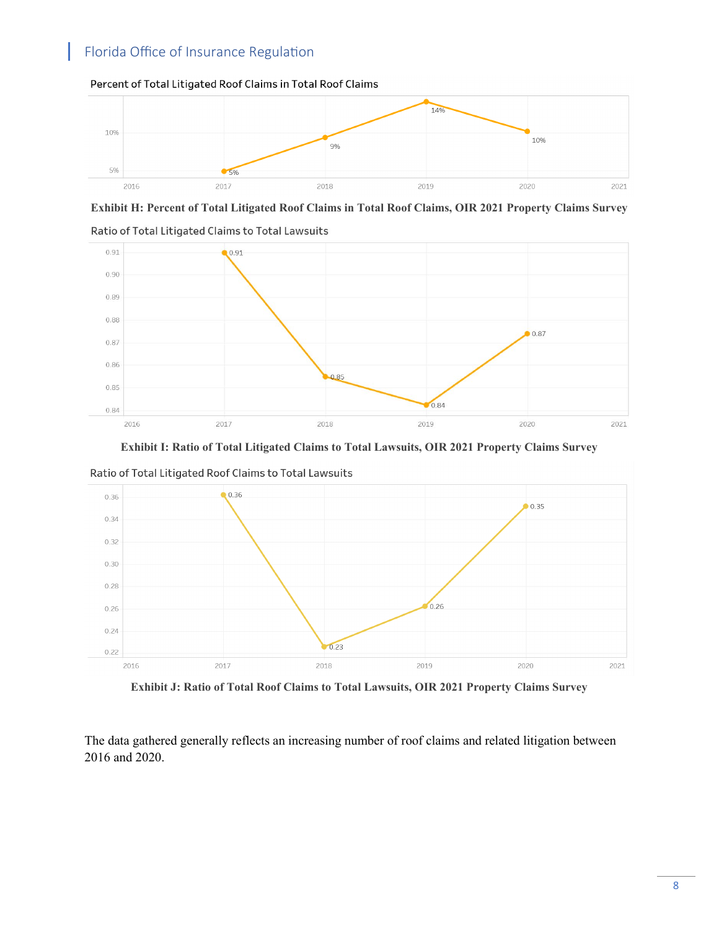

#### Percent of Total Litigated Roof Claims in Total Roof Claims





Ratio of Total Litigated Claims to Total Lawsuits





**Exhibit J: Ratio of Total Roof Claims to Total Lawsuits, OIR 2021 Property Claims Survey**

The data gathered generally reflects an increasing number of roof claims and related litigation between 2016 and 2020.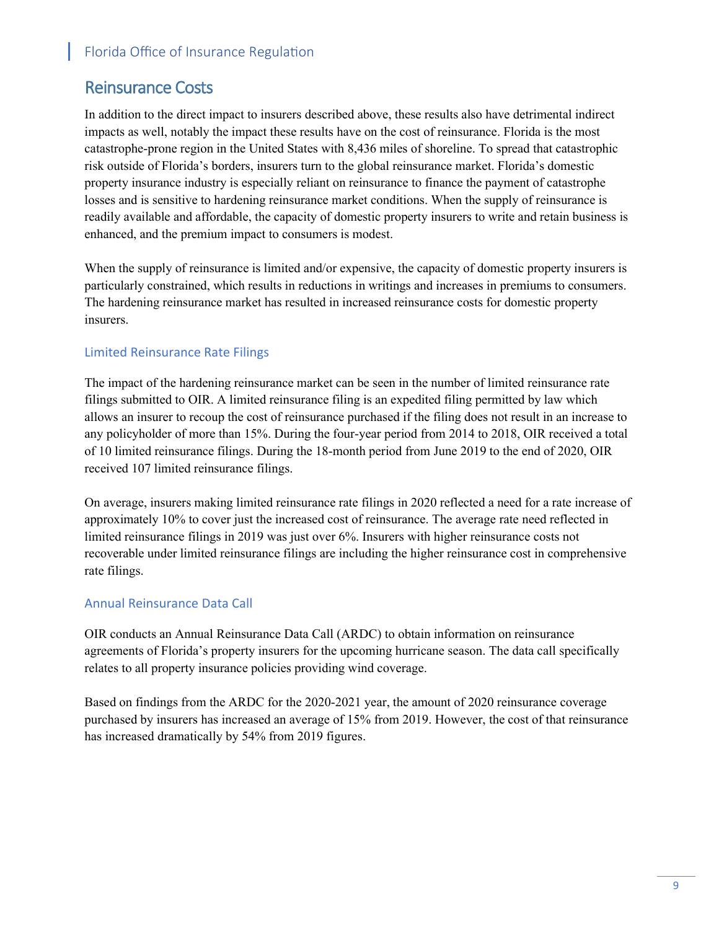### Reinsurance Costs

In addition to the direct impact to insurers described above, these results also have detrimental indirect impacts as well, notably the impact these results have on the cost of reinsurance. Florida is the most catastrophe-prone region in the United States with 8,436 miles of shoreline. To spread that catastrophic risk outside of Florida's borders, insurers turn to the global reinsurance market. Florida's domestic property insurance industry is especially reliant on reinsurance to finance the payment of catastrophe losses and is sensitive to hardening reinsurance market conditions. When the supply of reinsurance is readily available and affordable, the capacity of domestic property insurers to write and retain business is enhanced, and the premium impact to consumers is modest.

When the supply of reinsurance is limited and/or expensive, the capacity of domestic property insurers is particularly constrained, which results in reductions in writings and increases in premiums to consumers. The hardening reinsurance market has resulted in increased reinsurance costs for domestic property insurers.

#### Limited Reinsurance Rate Filings

The impact of the hardening reinsurance market can be seen in the number of limited reinsurance rate filings submitted to OIR. A limited reinsurance filing is an expedited filing permitted by law which allows an insurer to recoup the cost of reinsurance purchased if the filing does not result in an increase to any policyholder of more than 15%. During the four-year period from 2014 to 2018, OIR received a total of 10 limited reinsurance filings. During the 18-month period from June 2019 to the end of 2020, OIR received 107 limited reinsurance filings.

On average, insurers making limited reinsurance rate filings in 2020 reflected a need for a rate increase of approximately 10% to cover just the increased cost of reinsurance. The average rate need reflected in limited reinsurance filings in 2019 was just over 6%. Insurers with higher reinsurance costs not recoverable under limited reinsurance filings are including the higher reinsurance cost in comprehensive rate filings.

#### Annual Reinsurance Data Call

OIR conducts an Annual Reinsurance Data Call (ARDC) to obtain information on reinsurance agreements of Florida's property insurers for the upcoming hurricane season. The data call specifically relates to all property insurance policies providing wind coverage.

Based on findings from the ARDC for the 2020-2021 year, the amount of 2020 reinsurance coverage purchased by insurers has increased an average of 15% from 2019. However, the cost of that reinsurance has increased dramatically by 54% from 2019 figures.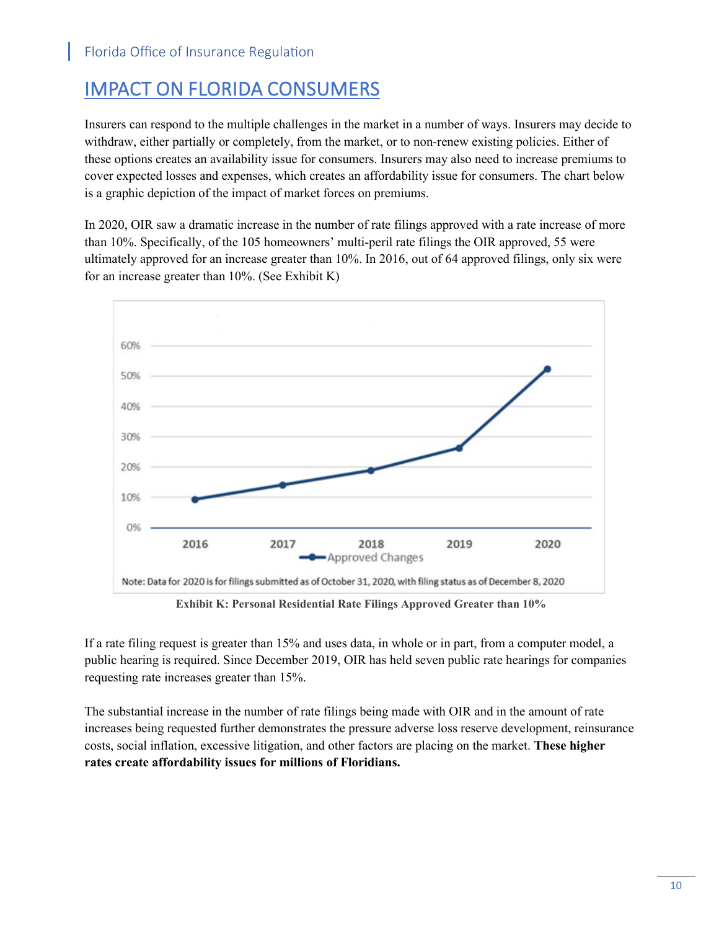# IMPACT ON FLORIDA CONSUMERS

Insurers can respond to the multiple challenges in the market in a number of ways. Insurers may decide to withdraw, either partially or completely, from the market, or to non-renew existing policies. Either of these options creates an availability issue for consumers. Insurers may also need to increase premiums to cover expected losses and expenses, which creates an affordability issue for consumers. The chart below is a graphic depiction of the impact of market forces on premiums.

In 2020, OIR saw a dramatic increase in the number of rate filings approved with a rate increase of more than 10%. Specifically, of the 105 homeowners' multi-peril rate filings the OIR approved, 55 were ultimately approved for an increase greater than 10%. In 2016, out of 64 approved filings, only six were for an increase greater than 10%. (See Exhibit K)



**Exhibit K: Personal Residential Rate Filings Approved Greater than 10%**

If a rate filing request is greater than 15% and uses data, in whole or in part, from a computer model, a public hearing is required. Since December 2019, OIR has held seven public rate hearings for companies requesting rate increases greater than 15%.

The substantial increase in the number of rate filings being made with OIR and in the amount of rate increases being requested further demonstrates the pressure adverse loss reserve development, reinsurance costs, social inflation, excessive litigation, and other factors are placing on the market. **These higher rates create affordability issues for millions of Floridians.**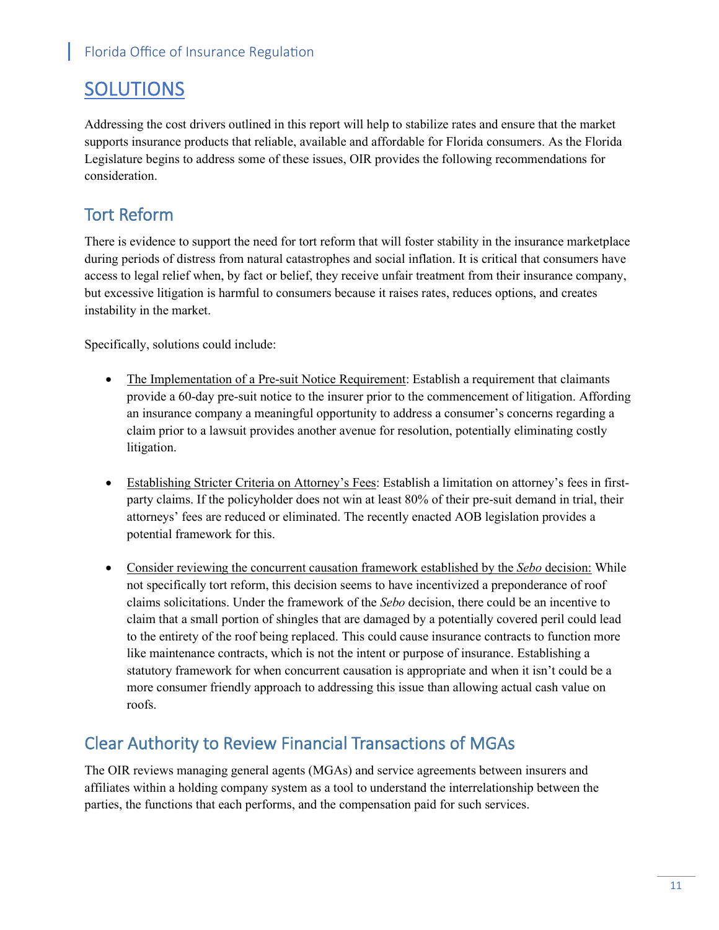# SOLUTIONS

Addressing the cost drivers outlined in this report will help to stabilize rates and ensure that the market supports insurance products that reliable, available and affordable for Florida consumers. As the Florida Legislature begins to address some of these issues, OIR provides the following recommendations for consideration.

### Tort Reform

There is evidence to support the need for tort reform that will foster stability in the insurance marketplace during periods of distress from natural catastrophes and social inflation. It is critical that consumers have access to legal relief when, by fact or belief, they receive unfair treatment from their insurance company, but excessive litigation is harmful to consumers because it raises rates, reduces options, and creates instability in the market.

Specifically, solutions could include:

- The Implementation of a Pre-suit Notice Requirement: Establish a requirement that claimants provide a 60-day pre-suit notice to the insurer prior to the commencement of litigation. Affording an insurance company a meaningful opportunity to address a consumer's concerns regarding a claim prior to a lawsuit provides another avenue for resolution, potentially eliminating costly litigation.
- Establishing Stricter Criteria on Attorney's Fees: Establish a limitation on attorney's fees in firstparty claims. If the policyholder does not win at least 80% of their pre-suit demand in trial, their attorneys' fees are reduced or eliminated. The recently enacted AOB legislation provides a potential framework for this.
- Consider reviewing the concurrent causation framework established by the *Sebo* decision: While not specifically tort reform, this decision seems to have incentivized a preponderance of roof claims solicitations. Under the framework of the *Sebo* decision, there could be an incentive to claim that a small portion of shingles that are damaged by a potentially covered peril could lead to the entirety of the roof being replaced. This could cause insurance contracts to function more like maintenance contracts, which is not the intent or purpose of insurance. Establishing a statutory framework for when concurrent causation is appropriate and when it isn't could be a more consumer friendly approach to addressing this issue than allowing actual cash value on roofs.

### Clear Authority to Review Financial Transactions of MGAs

The OIR reviews managing general agents (MGAs) and service agreements between insurers and affiliates within a holding company system as a tool to understand the interrelationship between the parties, the functions that each performs, and the compensation paid for such services.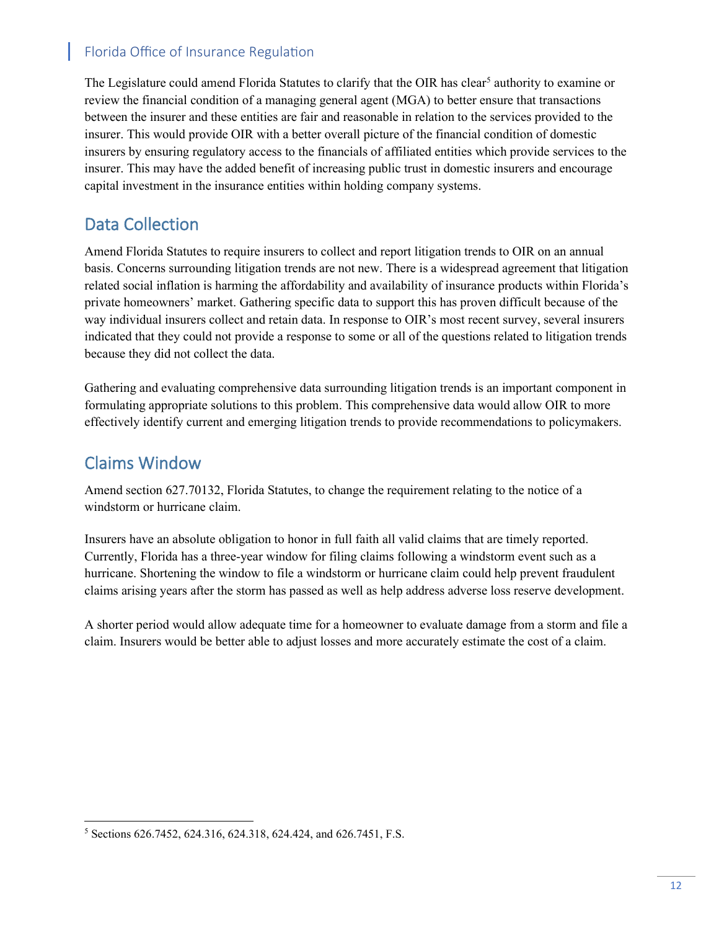The Legislature could amend Florida Statutes to clarify that the OIR has clear<sup>[5](#page-12-0)</sup> authority to examine or review the financial condition of a managing general agent (MGA) to better ensure that transactions between the insurer and these entities are fair and reasonable in relation to the services provided to the insurer. This would provide OIR with a better overall picture of the financial condition of domestic insurers by ensuring regulatory access to the financials of affiliated entities which provide services to the insurer. This may have the added benefit of increasing public trust in domestic insurers and encourage capital investment in the insurance entities within holding company systems.

### Data Collection

Amend Florida Statutes to require insurers to collect and report litigation trends to OIR on an annual basis. Concerns surrounding litigation trends are not new. There is a widespread agreement that litigation related social inflation is harming the affordability and availability of insurance products within Florida's private homeowners' market. Gathering specific data to support this has proven difficult because of the way individual insurers collect and retain data. In response to OIR's most recent survey, several insurers indicated that they could not provide a response to some or all of the questions related to litigation trends because they did not collect the data.

Gathering and evaluating comprehensive data surrounding litigation trends is an important component in formulating appropriate solutions to this problem. This comprehensive data would allow OIR to more effectively identify current and emerging litigation trends to provide recommendations to policymakers.

### Claims Window

Amend section 627.70132, Florida Statutes, to change the requirement relating to the notice of a windstorm or hurricane claim.

Insurers have an absolute obligation to honor in full faith all valid claims that are timely reported. Currently, Florida has a three-year window for filing claims following a windstorm event such as a hurricane. Shortening the window to file a windstorm or hurricane claim could help prevent fraudulent claims arising years after the storm has passed as well as help address adverse loss reserve development.

A shorter period would allow adequate time for a homeowner to evaluate damage from a storm and file a claim. Insurers would be better able to adjust losses and more accurately estimate the cost of a claim.

<span id="page-12-0"></span><sup>5</sup> Sections 626.7452, 624.316, 624.318, 624.424, and 626.7451, F.S.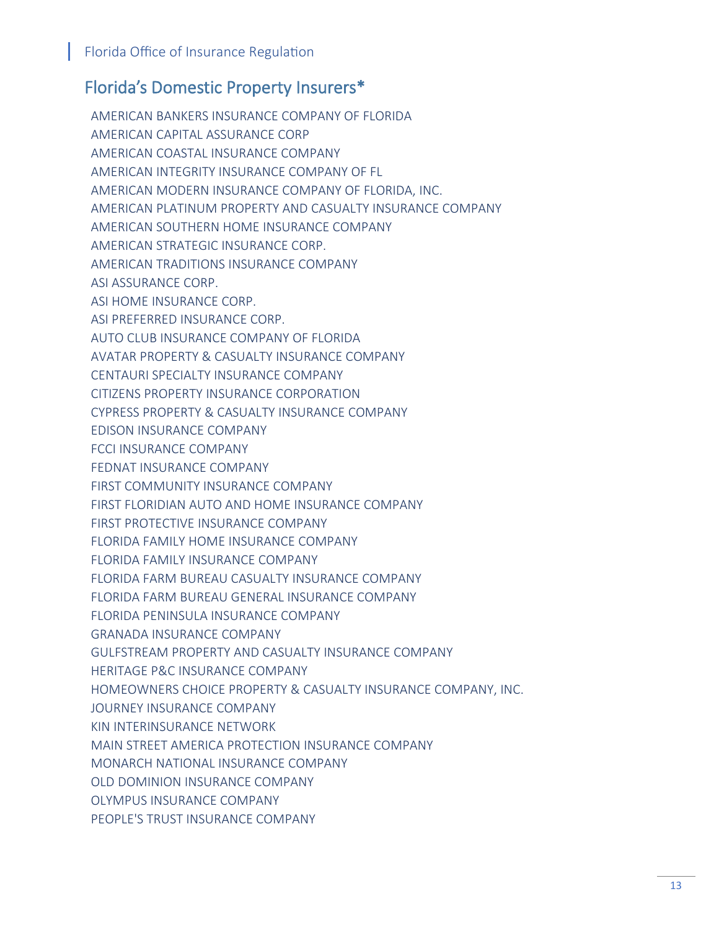### Florida's Domestic Property Insurers\*

AMERICAN BANKERS INSURANCE COMPANY OF FLORIDA AMERICAN CAPITAL ASSURANCE CORP AMERICAN COASTAL INSURANCE COMPANY AMERICAN INTEGRITY INSURANCE COMPANY OF FL AMERICAN MODERN INSURANCE COMPANY OF FLORIDA, INC. AMERICAN PLATINUM PROPERTY AND CASUALTY INSURANCE COMPANY AMERICAN SOUTHERN HOME INSURANCE COMPANY AMERICAN STRATEGIC INSURANCE CORP. AMERICAN TRADITIONS INSURANCE COMPANY ASI ASSURANCE CORP. ASI HOME INSURANCE CORP. ASI PREFERRED INSURANCE CORP. AUTO CLUB INSURANCE COMPANY OF FLORIDA AVATAR PROPERTY & CASUALTY INSURANCE COMPANY CENTAURI SPECIALTY INSURANCE COMPANY CITIZENS PROPERTY INSURANCE CORPORATION CYPRESS PROPERTY & CASUALTY INSURANCE COMPANY EDISON INSURANCE COMPANY FCCI INSURANCE COMPANY FEDNAT INSURANCE COMPANY FIRST COMMUNITY INSURANCE COMPANY FIRST FLORIDIAN AUTO AND HOME INSURANCE COMPANY FIRST PROTECTIVE INSURANCE COMPANY FLORIDA FAMILY HOME INSURANCE COMPANY FLORIDA FAMILY INSURANCE COMPANY FLORIDA FARM BUREAU CASUALTY INSURANCE COMPANY FLORIDA FARM BUREAU GENERAL INSURANCE COMPANY FLORIDA PENINSULA INSURANCE COMPANY GRANADA INSURANCE COMPANY GULFSTREAM PROPERTY AND CASUALTY INSURANCE COMPANY HERITAGE P&C INSURANCE COMPANY HOMEOWNERS CHOICE PROPERTY & CASUALTY INSURANCE COMPANY, INC. JOURNEY INSURANCE COMPANY KIN INTERINSURANCE NETWORK MAIN STREET AMERICA PROTECTION INSURANCE COMPANY MONARCH NATIONAL INSURANCE COMPANY OLD DOMINION INSURANCE COMPANY OLYMPUS INSURANCE COMPANY PEOPLE'S TRUST INSURANCE COMPANY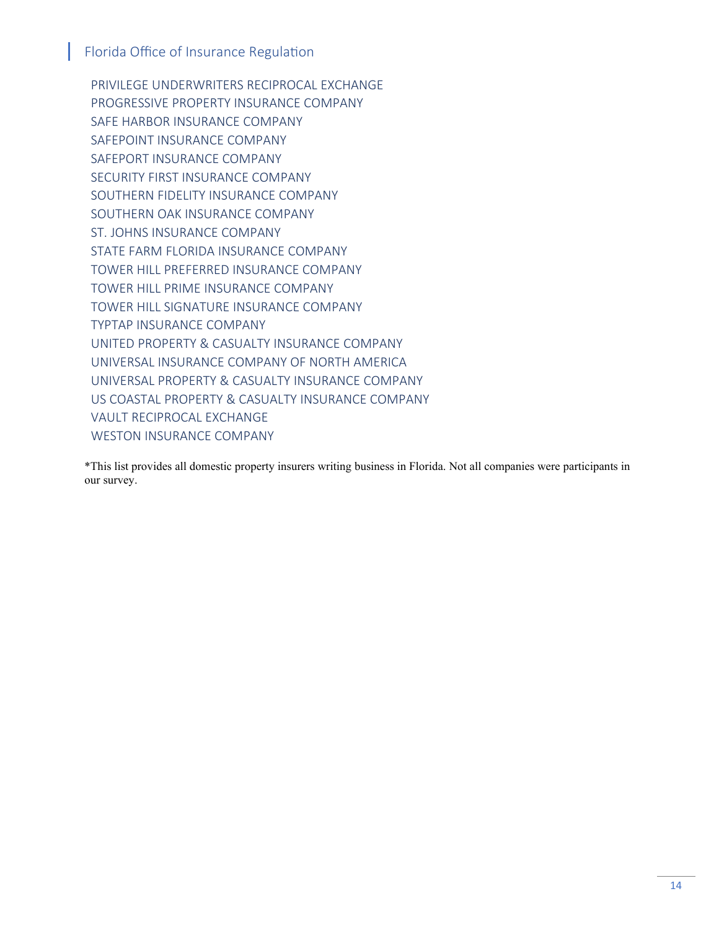PRIVILEGE UNDERWRITERS RECIPROCAL EXCHANGE PROGRESSIVE PROPERTY INSURANCE COMPANY SAFE HARBOR INSURANCE COMPANY SAFEPOINT INSURANCE COMPANY SAFEPORT INSURANCE COMPANY SECURITY FIRST INSURANCE COMPANY SOUTHERN FIDELITY INSURANCE COMPANY SOUTHERN OAK INSURANCE COMPANY ST. JOHNS INSURANCE COMPANY STATE FARM FLORIDA INSURANCE COMPANY TOWER HILL PREFERRED INSURANCE COMPANY TOWER HILL PRIME INSURANCE COMPANY TOWER HILL SIGNATURE INSURANCE COMPANY TYPTAP INSURANCE COMPANY UNITED PROPERTY & CASUALTY INSURANCE COMPANY UNIVERSAL INSURANCE COMPANY OF NORTH AMERICA UNIVERSAL PROPERTY & CASUALTY INSURANCE COMPANY US COASTAL PROPERTY & CASUALTY INSURANCE COMPANY VAULT RECIPROCAL EXCHANGE WESTON INSURANCE COMPANY

\*This list provides all domestic property insurers writing business in Florida. Not all companies were participants in our survey.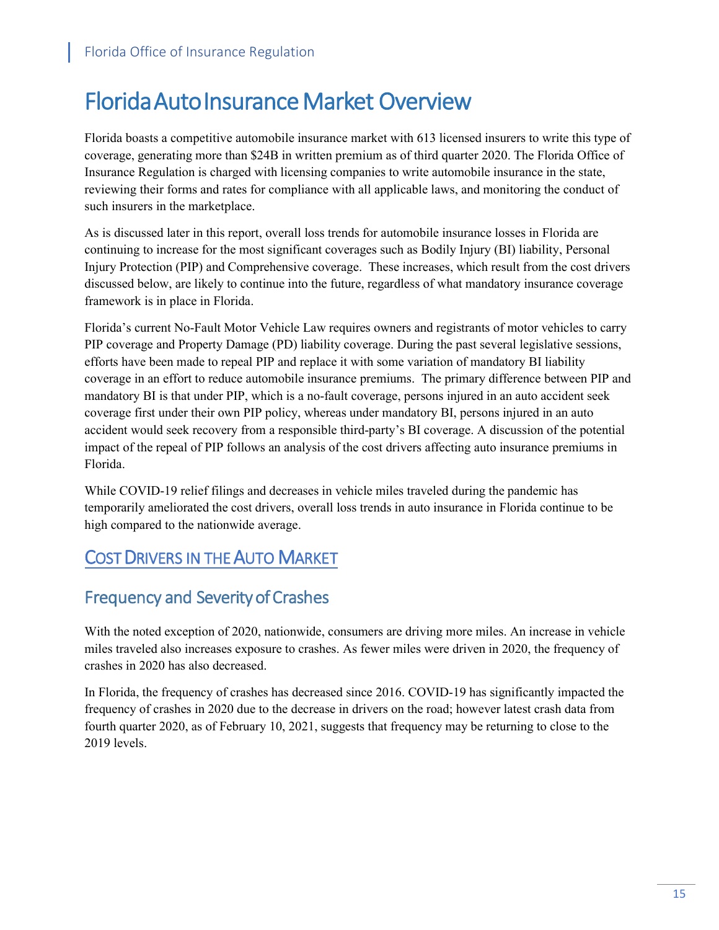# Florida Auto Insurance Market Overview

Florida boasts a competitive automobile insurance market with 613 licensed insurers to write this type of coverage, generating more than \$24B in written premium as of third quarter 2020. The Florida Office of Insurance Regulation is charged with licensing companies to write automobile insurance in the state, reviewing their forms and rates for compliance with all applicable laws, and monitoring the conduct of such insurers in the marketplace.

As is discussed later in this report, overall loss trends for automobile insurance losses in Florida are continuing to increase for the most significant coverages such as Bodily Injury (BI) liability, Personal Injury Protection (PIP) and Comprehensive coverage. These increases, which result from the cost drivers discussed below, are likely to continue into the future, regardless of what mandatory insurance coverage framework is in place in Florida.

Florida's current No-Fault Motor Vehicle Law requires owners and registrants of motor vehicles to carry PIP coverage and Property Damage (PD) liability coverage. During the past several legislative sessions, efforts have been made to repeal PIP and replace it with some variation of mandatory BI liability coverage in an effort to reduce automobile insurance premiums. The primary difference between PIP and mandatory BI is that under PIP, which is a no-fault coverage, persons injured in an auto accident seek coverage first under their own PIP policy, whereas under mandatory BI, persons injured in an auto accident would seek recovery from a responsible third-party's BI coverage. A discussion of the potential impact of the repeal of PIP follows an analysis of the cost drivers affecting auto insurance premiums in Florida.

While COVID-19 relief filings and decreases in vehicle miles traveled during the pandemic has temporarily ameliorated the cost drivers, overall loss trends in auto insurance in Florida continue to be high compared to the nationwide average.

# COST DRIVERS IN THE AUTO MARKET

## Frequency and Severity of Crashes

With the noted exception of 2020, nationwide, consumers are driving more miles. An increase in vehicle miles traveled also increases exposure to crashes. As fewer miles were driven in 2020, the frequency of crashes in 2020 has also decreased.

In Florida, the frequency of crashes has decreased since 2016. COVID-19 has significantly impacted the frequency of crashes in 2020 due to the decrease in drivers on the road; however latest crash data from fourth quarter 2020, as of February 10, 2021, suggests that frequency may be returning to close to the 2019 levels.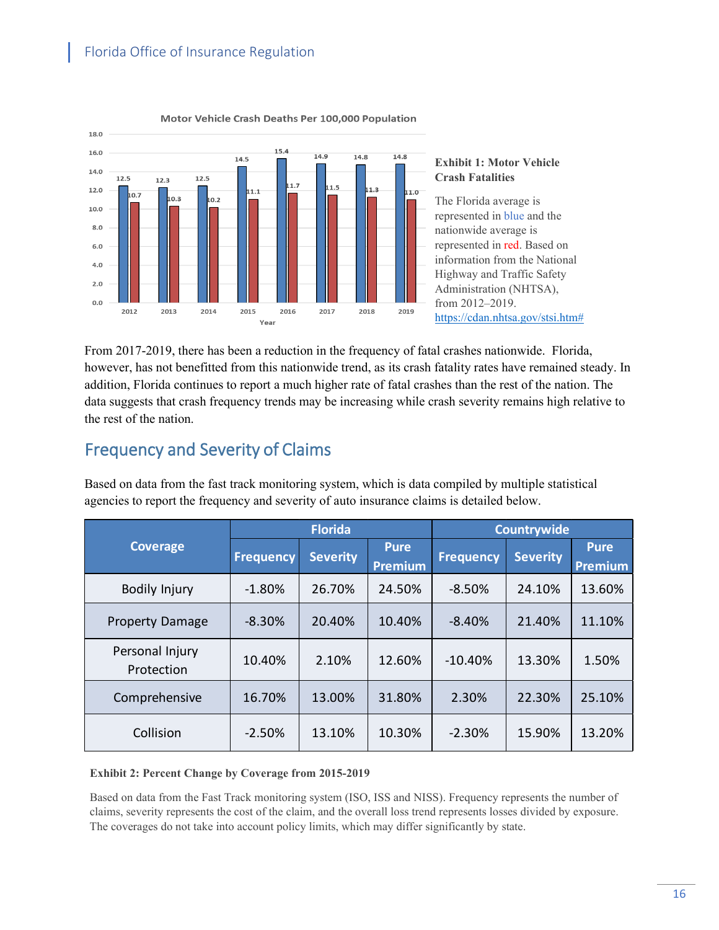

Motor Vehicle Crash Deaths Per 100,000 Population

#### **Exhibit 1: Motor Vehicle Crash Fatalities**

The Florida average is represented in blue and the nationwide average is represented in red. Based on information from the National Highway and Traffic Safety Administration (NHTSA), from 2012–2019. [https://cdan.nhtsa.gov/stsi.htm#](https://cdan.nhtsa.gov/stsi.htm)

From 2017-2019, there has been a reduction in the frequency of fatal crashes nationwide. Florida, however, has not benefitted from this nationwide trend, as its crash fatality rates have remained steady. In addition, Florida continues to report a much higher rate of fatal crashes than the rest of the nation. The data suggests that crash frequency trends may be increasing while crash severity remains high relative to the rest of the nation.

# Frequency and Severity of Claims

Based on data from the fast track monitoring system, which is data compiled by multiple statistical agencies to report the frequency and severity of auto insurance claims is detailed below.

| <b>Coverage</b>               | <b>Florida</b>   |                 |                               | Countrywide      |                 |                               |
|-------------------------------|------------------|-----------------|-------------------------------|------------------|-----------------|-------------------------------|
|                               | <b>Frequency</b> | <b>Severity</b> | <b>Pure</b><br><b>Premium</b> | <b>Frequency</b> | <b>Severity</b> | <b>Pure</b><br><b>Premium</b> |
| Bodily Injury                 | $-1.80\%$        | 26.70%          | 24.50%                        | $-8.50%$         | 24.10%          | 13.60%                        |
| <b>Property Damage</b>        | $-8.30%$         | 20.40%          | 10.40%                        | $-8.40%$         | 21.40%          | 11.10%                        |
| Personal Injury<br>Protection | 10.40%           | 2.10%           | 12.60%                        | $-10.40%$        | 13.30%          | 1.50%                         |
| Comprehensive                 | 16.70%           | 13.00%          | 31.80%                        | 2.30%            | 22.30%          | 25.10%                        |
| Collision                     | $-2.50%$         | 13.10%          | 10.30%                        | $-2.30%$         | 15.90%          | 13.20%                        |

#### **Exhibit 2: Percent Change by Coverage from 2015-2019**

Based on data from the Fast Track monitoring system (ISO, ISS and NISS). Frequency represents the number of claims, severity represents the cost of the claim, and the overall loss trend represents losses divided by exposure. The coverages do not take into account policy limits, which may differ significantly by state.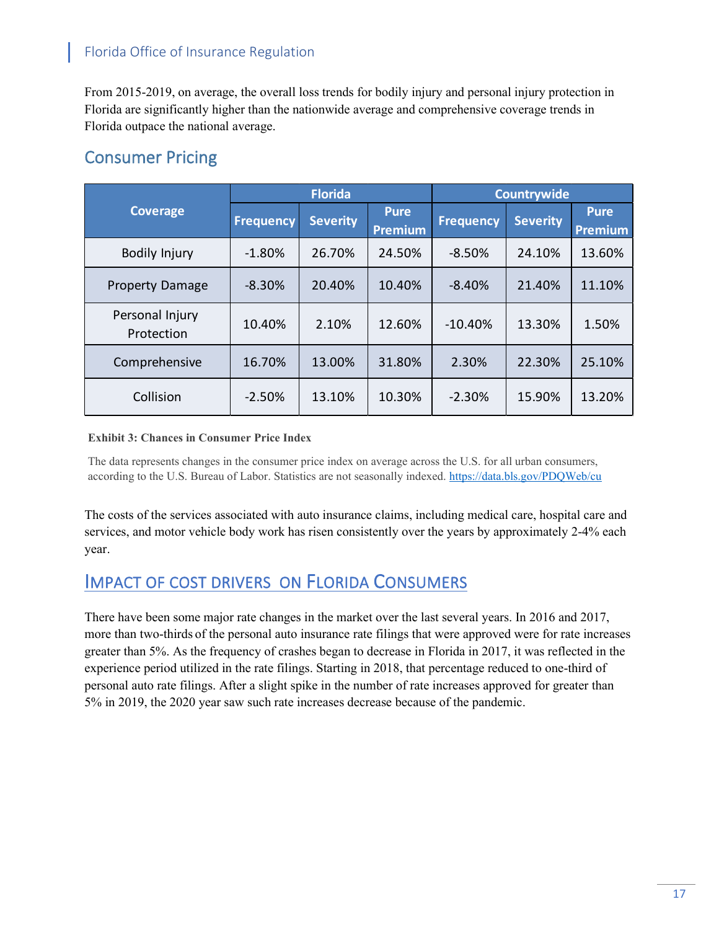From 2015-2019, on average, the overall loss trends for bodily injury and personal injury protection in Florida are significantly higher than the nationwide average and comprehensive coverage trends in Florida outpace the national average.

### Consumer Pricing

| <b>Coverage</b>               | <b>Florida</b>   |                 |                               | Countrywide      |                 |                        |
|-------------------------------|------------------|-----------------|-------------------------------|------------------|-----------------|------------------------|
|                               | <b>Frequency</b> | <b>Severity</b> | <b>Pure</b><br><b>Premium</b> | <b>Frequency</b> | <b>Severity</b> | <b>Pure</b><br>Premium |
| <b>Bodily Injury</b>          | $-1.80\%$        | 26.70%          | 24.50%                        | $-8.50%$         | 24.10%          | 13.60%                 |
| <b>Property Damage</b>        | $-8.30%$         | 20.40%          | 10.40%                        | $-8.40%$         | 21.40%          | 11.10%                 |
| Personal Injury<br>Protection | 10.40%           | 2.10%           | 12.60%                        | $-10.40%$        | 13.30%          | 1.50%                  |
| Comprehensive                 | 16.70%           | 13.00%          | 31.80%                        | 2.30%            | 22.30%          | 25.10%                 |
| Collision                     | $-2.50%$         | 13.10%          | 10.30%                        | $-2.30%$         | 15.90%          | 13.20%                 |

#### **Exhibit 3: Chances in Consumer Price Index**

The data represents changes in the consumer price index on average across the U.S. for all urban consumers, according to the U.S. Bureau of Labor. Statistics are not seasonally indexed[. https://data.bls.gov/PDQWeb/cu](https://data.bls.gov/PDQWeb/cu) 

The costs of the services associated with auto insurance claims, including medical care, hospital care and services, and motor vehicle body work has risen consistently over the years by approximately 2-4% each year.

### IMPACT OF COST DRIVERS ON FLORIDA CONSUMERS

There have been some major rate changes in the market over the last several years. In 2016 and 2017, more than two-thirds of the personal auto insurance rate filings that were approved were for rate increases greater than 5%. As the frequency of crashes began to decrease in Florida in 2017, it was reflected in the experience period utilized in the rate filings. Starting in 2018, that percentage reduced to one-third of personal auto rate filings. After a slight spike in the number of rate increases approved for greater than 5% in 2019, the 2020 year saw such rate increases decrease because of the pandemic.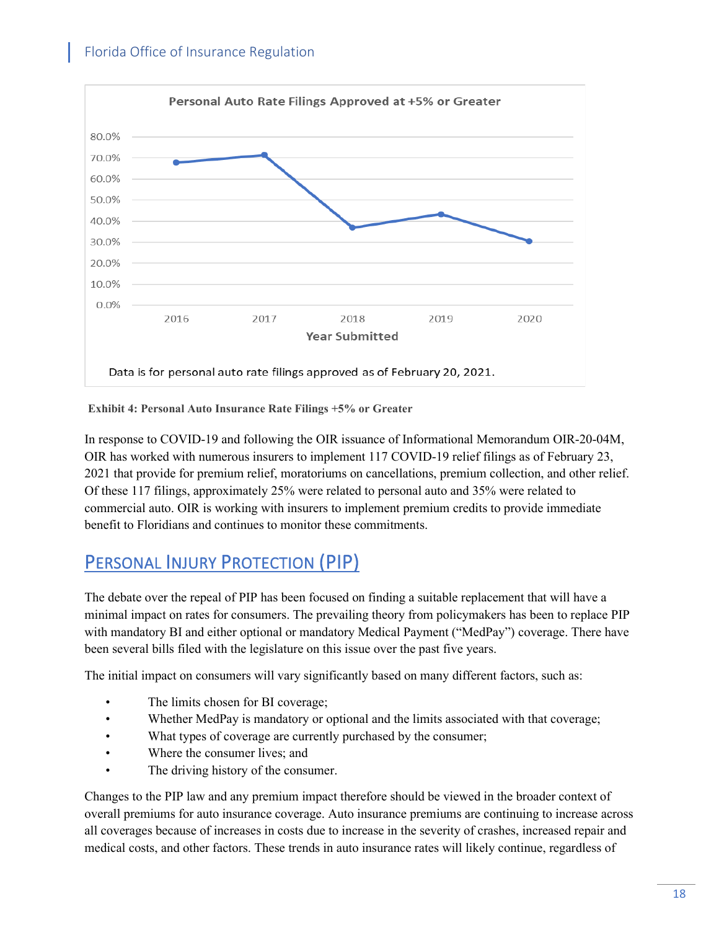

**Exhibit 4: Personal Auto Insurance Rate Filings +5% or Greater**

In response to COVID-19 and following the OIR issuance of Informational Memorandum OIR-20-04M, OIR has worked with numerous insurers to implement 117 COVID-19 relief filings as of February 23, 2021 that provide for premium relief, moratoriums on cancellations, premium collection, and other relief. Of these 117 filings, approximately 25% were related to personal auto and 35% were related to commercial auto. OIR is working with insurers to implement premium credits to provide immediate benefit to Floridians and continues to monitor these commitments.

# PERSONAL INJURY PROTECTION (PIP)

The debate over the repeal of PIP has been focused on finding a suitable replacement that will have a minimal impact on rates for consumers. The prevailing theory from policymakers has been to replace PIP with mandatory BI and either optional or mandatory Medical Payment ("MedPay") coverage. There have been several bills filed with the legislature on this issue over the past five years.

The initial impact on consumers will vary significantly based on many different factors, such as:

- The limits chosen for BI coverage;
- Whether MedPay is mandatory or optional and the limits associated with that coverage;
- What types of coverage are currently purchased by the consumer;
- Where the consumer lives; and
- The driving history of the consumer.

Changes to the PIP law and any premium impact therefore should be viewed in the broader context of overall premiums for auto insurance coverage. Auto insurance premiums are continuing to increase across all coverages because of increases in costs due to increase in the severity of crashes, increased repair and medical costs, and other factors. These trends in auto insurance rates will likely continue, regardless of